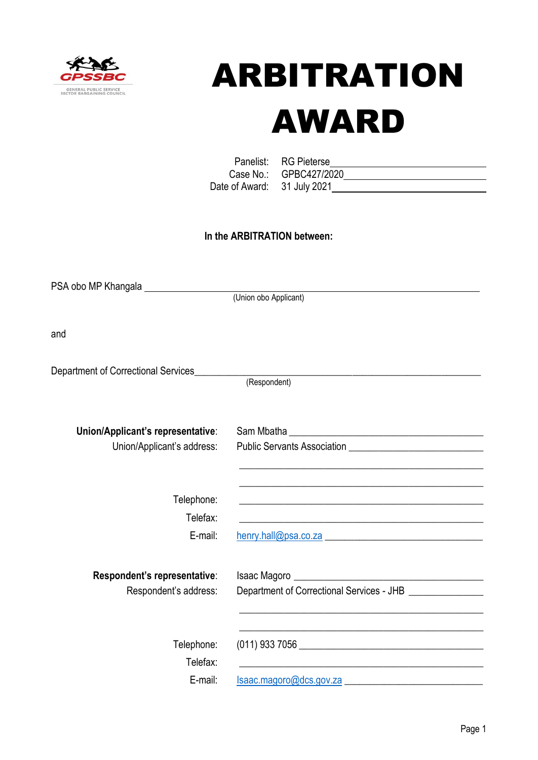

# ARBITRATION AWARD

Panelist: Case No.: Date of Award:

| RG Pieterse  |  |
|--------------|--|
| GPBC427/2020 |  |
| 31 July 2021 |  |

## **In the ARBITRATION between:**

PSA obo MP Khangala (Union obo Applicant) and Department of Correctional Services (Respondent) **Union/Applicant's representative**: Sam Mbatha \_\_\_\_\_\_\_\_\_\_\_\_\_\_\_\_\_\_\_\_\_\_\_\_\_\_\_\_\_\_\_\_\_\_\_\_\_\_\_ Union/Applicant's address: Public Servants Association \_\_\_\_\_\_\_\_\_\_\_\_\_\_\_\_\_\_\_\_\_\_\_\_\_ \_\_\_\_\_\_\_\_\_\_\_\_\_\_\_\_\_\_\_\_\_\_\_\_\_\_\_\_\_\_\_\_\_\_\_\_\_\_\_\_\_\_\_\_\_\_\_\_\_ \_\_\_\_\_\_\_\_\_\_\_\_\_\_\_\_\_\_\_\_\_\_\_\_\_\_\_\_\_\_\_\_\_\_\_\_\_\_\_\_\_\_\_\_\_\_\_\_\_ Telephone: Telefax: \_\_\_\_\_\_\_\_\_\_\_\_\_\_\_\_\_\_\_\_\_\_\_\_\_\_\_\_\_\_\_\_\_\_\_\_\_\_\_\_\_\_\_\_\_\_\_\_\_ E-mail: [henry.hall@psa.co.za](mailto:henry.hall@psa.co.za) **Respondent's representative**: Isaac Magoro \_\_\_\_\_\_\_\_\_\_\_\_\_\_\_\_\_\_\_\_\_\_\_\_\_\_\_\_\_\_\_\_\_\_\_\_\_\_ Respondent's address: Department of Correctional Services - JHB \_\_\_\_\_\_\_\_\_\_\_\_\_\_\_\_ \_\_\_\_\_\_\_\_\_\_\_\_\_\_\_\_\_\_\_\_\_\_\_\_\_\_\_\_\_\_\_\_\_\_\_\_\_\_\_\_\_\_\_\_\_\_\_\_\_ \_\_\_\_\_\_\_\_\_\_\_\_\_\_\_\_\_\_\_\_\_\_\_\_\_\_\_\_\_\_\_\_\_\_\_\_\_\_\_\_\_\_\_\_\_\_\_\_\_ Telephone: (011) 933 7056 \_\_\_\_\_\_\_\_\_\_\_\_\_\_\_\_\_\_\_\_\_\_\_\_\_\_\_\_\_\_\_\_\_\_\_\_\_ Telefax: E-mail: [Isaac.magoro@dcs.gov.za](mailto:Isaac.magoro@dcs.gov.za)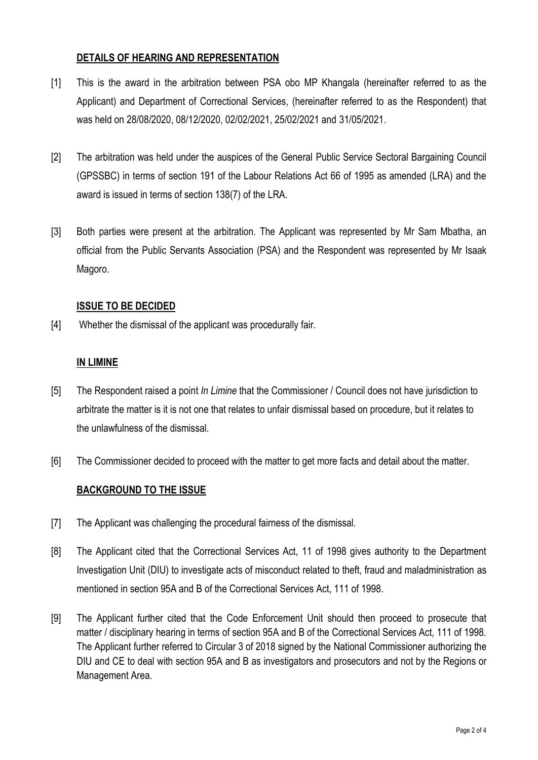#### **DETAILS OF HEARING AND REPRESENTATION**

- [1] This is the award in the arbitration between PSA obo MP Khangala (hereinafter referred to as the Applicant) and Department of Correctional Services, (hereinafter referred to as the Respondent) that was held on 28/08/2020, 08/12/2020, 02/02/2021, 25/02/2021 and 31/05/2021.
- [2] The arbitration was held under the auspices of the General Public Service Sectoral Bargaining Council (GPSSBC) in terms of section 191 of the Labour Relations Act 66 of 1995 as amended (LRA) and the award is issued in terms of section 138(7) of the LRA.
- [3] Both parties were present at the arbitration. The Applicant was represented by Mr Sam Mbatha, an official from the Public Servants Association (PSA) and the Respondent was represented by Mr Isaak Magoro.

### **ISSUE TO BE DECIDED**

[4] Whether the dismissal of the applicant was procedurally fair.

### **IN LIMINE**

- [5] The Respondent raised a point *In Limine* that the Commissioner / Council does not have jurisdiction to arbitrate the matter is it is not one that relates to unfair dismissal based on procedure, but it relates to the unlawfulness of the dismissal.
- [6] The Commissioner decided to proceed with the matter to get more facts and detail about the matter.

## **BACKGROUND TO THE ISSUE**

- [7] The Applicant was challenging the procedural fairness of the dismissal.
- [8] The Applicant cited that the Correctional Services Act, 11 of 1998 gives authority to the Department Investigation Unit (DIU) to investigate acts of misconduct related to theft, fraud and maladministration as mentioned in section 95A and B of the Correctional Services Act, 111 of 1998.
- [9] The Applicant further cited that the Code Enforcement Unit should then proceed to prosecute that matter / disciplinary hearing in terms of section 95A and B of the Correctional Services Act, 111 of 1998. The Applicant further referred to Circular 3 of 2018 signed by the National Commissioner authorizing the DIU and CE to deal with section 95A and B as investigators and prosecutors and not by the Regions or Management Area.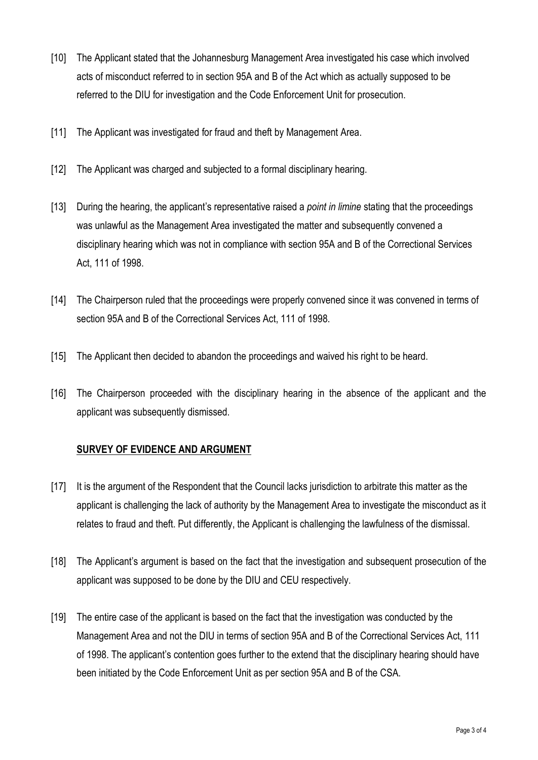- [10] The Applicant stated that the Johannesburg Management Area investigated his case which involved acts of misconduct referred to in section 95A and B of the Act which as actually supposed to be referred to the DIU for investigation and the Code Enforcement Unit for prosecution.
- [11] The Applicant was investigated for fraud and theft by Management Area.
- [12] The Applicant was charged and subjected to a formal disciplinary hearing.
- [13] During the hearing, the applicant's representative raised a *point in limine* stating that the proceedings was unlawful as the Management Area investigated the matter and subsequently convened a disciplinary hearing which was not in compliance with section 95A and B of the Correctional Services Act, 111 of 1998.
- [14] The Chairperson ruled that the proceedings were properly convened since it was convened in terms of section 95A and B of the Correctional Services Act, 111 of 1998.
- [15] The Applicant then decided to abandon the proceedings and waived his right to be heard.
- [16] The Chairperson proceeded with the disciplinary hearing in the absence of the applicant and the applicant was subsequently dismissed.

## **SURVEY OF EVIDENCE AND ARGUMENT**

- [17] It is the argument of the Respondent that the Council lacks jurisdiction to arbitrate this matter as the applicant is challenging the lack of authority by the Management Area to investigate the misconduct as it relates to fraud and theft. Put differently, the Applicant is challenging the lawfulness of the dismissal.
- [18] The Applicant's argument is based on the fact that the investigation and subsequent prosecution of the applicant was supposed to be done by the DIU and CEU respectively.
- [19] The entire case of the applicant is based on the fact that the investigation was conducted by the Management Area and not the DIU in terms of section 95A and B of the Correctional Services Act, 111 of 1998. The applicant's contention goes further to the extend that the disciplinary hearing should have been initiated by the Code Enforcement Unit as per section 95A and B of the CSA.